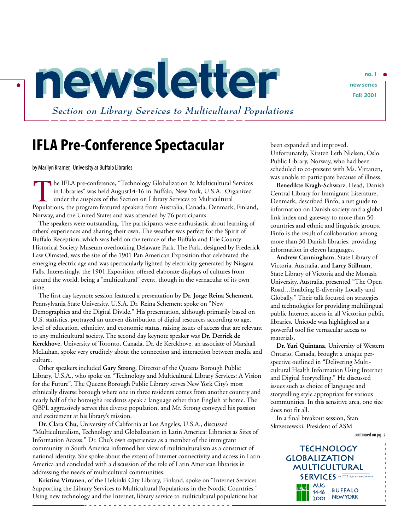newsletter newseries  *Section on Library Services to Multicultural Populations*

## **IFLA Pre-Conference Spectacular**

byMarilyn Kramer, University at Buffalo Libraries

.

he IFLA pre-conference, "Technology Globalization & Multicultural Services in Libraries" was held August14-16 in Buffalo, New York, U.S.A. Organized under the auspices of the Section on Library Services to Multicultural In the IFLA pre-conference, "Technology Globalization & Multicultural Services<br>in Libraries" was held August14-16 in Buffalo, New York, U.S.A. Organized<br>under the auspices of the Section on Library Services to Multicultura Norway, and the United States and was attended by 76 participants.

The speakers were outstanding. The participants were enthusiastic about learning of others' experiences and sharing their own. The weather was perfect for the Spirit of Buffalo Reception, which was held on the terrace of the Buffalo and Erie County Historical Society Museum overlooking Delaware Park. The Park, designed by Frederick Law Olmsted, was the site of the 1901 Pan American Exposition that celebrated the emerging electric age and was spectacularly lighted by electricity generated by Niagara Falls. Interestingly, the 1901 Exposition offered elaborate displays of cultures from around the world, being a "multicultural" event, though in the vernacular of its own time.

The first day keynote session featured a presentation by **Dr. Jorge Reina Schement**, Pennsylvania State University, U.S.A. Dr. Reina Schement spoke on "New Demographics and the Digital Divide." His presentation, although primarily based on U.S. statistics, portrayed an uneven distribution of digital resources according to age, level of education, ethnicity, and economic status, raising issues of access that are relevant to any multicultural society. The second day keynote speaker was **Dr. Derrick de Kerckhove**, University of Toronto, Canada. Dr. de Kerckhove, an associate of Marshall McLuhan, spoke very eruditely about the connection and interaction between media and culture.

Other speakers included **Gary Strong**, Director of the Queens Borough Public Library, U.S.A., who spoke on "Technology and Multicultural Library Services: A Vision for the Future". The Queens Borough Public Library serves New York City's most ethnically diverse borough where one in three residents comes from another country and nearly half of the borough's residents speak a language other than English at home. The QBPL aggressively serves this diverse population, and Mr. Strong conveyed his passion and excitement at his library's mission.

**Dr. Clara Chu**, University of California at Los Angeles, U.S.A., discussed "Multiculturalism, Technology and Globalization in Latin America: Libraries as Sites of Information Access." Dr. Chu's own experiences as a member of the immigrant community in South America informed her view of multiculturalism as a construct of national identity. She spoke about the extent of Internet connectivity and access in Latin America and concluded with a discussion of the role of Latin American libraries in addressing the needs of multicultural communities.

**Kristina Virtanen**, of the Helsinki City Library, Finland, spoke on "Internet Services Supporting the Library Services to Multicultural Populations in the Nordic Countries." Using new technology and the Internet, library service to multicultural populations has

- - - - - - - - - - - - - - - - - - - - - - - - - - - - - -

been expanded and improved. Unfortunately, Kirsten Leth Nielsen, Oslo Public Library, Norway, who had been scheduled to co-present with Ms. Virtanen, was unable to participate because of illness.

**Benedikte Kragh-Schwarz**, Head, Danish Central Library for Immigrant Literature, Denmark, described Finfo, a net guide to information on Danish society and a global link index and gateway to more than 50 countries and ethnic and linguistic groups. Finfo is the result of collaboration among more than 30 Danish libraries, providing information in eleven languages.

**Andrew Cunningham**, State Library of Victoria, Australia, and **Larry Stillman**, State Library of Victoria and the Monash University, Australia, presented "The Open Road…Enabling E-diversity Locally and Globally." Their talk focused on strategies and technologies for providing multilingual public Internet access in all Victorian public libraries. Unicode was highlighted as a powerful tool for vernacular access to materials.

**Dr. Yuri Quintana**, University of Western Ontario, Canada, brought a unique perspective outlined in "Delivering Multicultural Health Information Using Internet and Digital Storytelling." He discussed issues such as choice of language and storytelling style appropriate for various communities. In this sensitive area, one size does not fit all.

In a final breakout session, Stan Skrzeszewski, President of ASM





.<br>.<br>.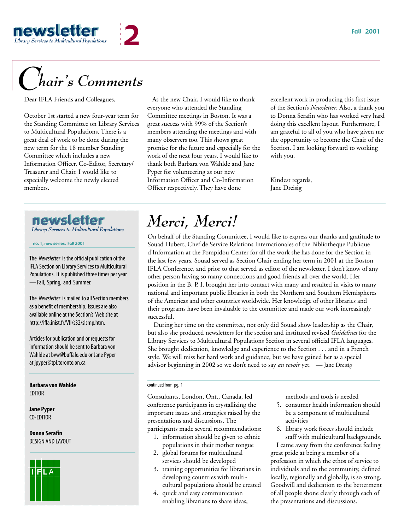

# *Chair's Comments*

Dear IFLA Friends and Colleagues,

October 1st started a new four-year term for the Standing Committee on Library Services to Multicultural Populations. There is a great deal of work to be done during the new term for the 18 member Standing Committee which includes a new Information Officer, Co-Editor, Secretary/ Treasurer and Chair. I would like to especially welcome the newly elected members.

### newsletter *Library Services to Multicultural Populations*

no. 1, new series, Fall 2001

The *Newsletter* is the official publication of the IFLA Section on Library Services to Multicultural Populations. It is published three times per year — Fall, Spring, and Summer.

The *Newsletter* is mailed to all Section members as a benefit of membership. Issues are also available online at the Section's Web site at http://ifla.inist.fr/VII/s32/slsmp.htm.

Articles for publication and or requests for information should be sent to Barbara von Wahlde at bvw@buffalo.edu or Jane Pyper at jpyper@tpl.toronto.on.ca

**Barbara von Wahlde** EDITOR

**Jane Pyper** CO-EDITOR

**Donna Serafin** DESIGN AND LAYOUT



 As the new Chair, I would like to thank everyone who attended the Standing Committee meetings in Boston. It was a great success with 99% of the Section's members attending the meetings and with many observers too. This shows great promise for the future and especially for the work of the next four years. I would like to thank both Barbara von Wahlde and Jane Pyper for volunteering as our new Information Officer and Co-Information Officer respectively. They have done

excellent work in producing this first issue of the Section's *Newsletter*. Also, a thank you to Donna Serafin who has worked very hard doing this excellent layout. Furthermore, I am grateful to all of you who have given me the opportunity to become the Chair of the Section. I am looking forward to working with you.

Kindest regards, Jane Dreisig

# *Merci, Merci!*

On behalf of the Standing Committee, I would like to express our thanks and gratitude to Souad Hubert, Chef de Service Relations Internationales of the Bibliotheque Publique d'Information at the Pompidou Center for all the work she has done for the Section in the last few years. Souad served as Section Chair ending her term in 2001 at the Boston IFLA Conference, and prior to that served as editor of the newsletter. I don't know of any other person having so many connections and good friends all over the world. Her position in the B. P. I. brought her into contact with many and resulted in visits to many national and important public libraries in both the Northern and Southern Hemispheres of the Americas and other countries worldwide. Her knowledge of other libraries and their programs have been invaluable to the committee and made our work increasingly successful.

During her time on the committee, not only did Souad show leadership as the Chair, but also she produced newsletters for the section and instituted revised *Guidelines* for the Library Services to Multicultural Populations Section in several official IFLA languages. She brought dedication, knowledge and experience to the Section . . . and in a French style. We will miss her hard work and guidance, but we have gained her as a special advisor beginning in 2002 so we don't need to say *au revoir* yet. — Jane Dreisig

### continued from pg. 1

Consultants, London, Ont., Canada, led conference participants in crystallizing the important issues and strategies raised by the presentations and discussions. The participants made several recommendations:

- 1. information should be given to ethnic populations in their mother tongue
- 2. global forums for multicultural services should be developed
- 3. training opportunities for librarians in developing countries with multicultural populations should be created
- 4. quick and easy communication enabling librarians to share ideas,

methods and tools is needed

- 5. consumer health information should be a component of multicultural activities
- 6. library work forces should include staff with multicultural backgrounds.

I came away from the conference feeling great pride at being a member of a profession in which the ethos of service to individuals and to the community, defined locally, regionally and globally, is so strong. Goodwill and dedication to the betterment of all people shone clearly through each of the presentations and discussions.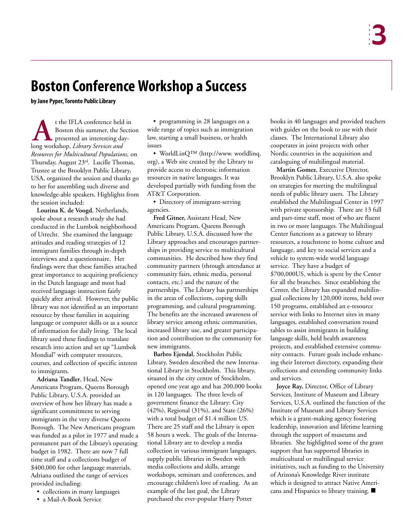# **Boston Conference Workshop a Success**

**by Jane Pyper, Toronto Public Library**

t the IFLA conference held in Boston this summer, the Section presented an interesting dayt the IFLA conference held<br>Boston this summer, the S<br>presented an interesting da<br>long workshop, *Library Services and Resources for Multicultural Populations,* on Thursday, August 23rd. Lucille Thomas, Trustee at the Brooklyn Public Library, USA, organized the session and thanks go to her for assembling such diverse and knowledge-able speakers. Highlights from the session included:

**Lourina K. de Voogd**, Netherlands, spoke about a research study she had conducted in the Lumbok neighborhood of Utrecht. She examined the language attitudes and reading strategies of 12 immigrant families through in-depth interviews and a questionnaire. Her findings were that these families attached great importance to acquiring proficiency in the Dutch language and most had received language instruction fairly quickly after arrival. However, the public library was not identified as an important resource by these families in acquiring language or computer skills or as a source of information for daily living. The local library used these findings to translate research into action and set up "Lumbok Mondial" with computer resources, courses, and collection of specific interest to immigrants.

**Adriana Tandler**, Head, New Americans Program, Queens Borough Public Library, U.S.A. provided an overview of how her library has made a significant commitment to serving immigrants in the very diverse Queens Borough. The New Americans program was funded as a pilot in 1977 and made a permanent part of the Library's operating budget in 1982. There are now 7 full time staff and a collections budget of \$400,000 for other language materials. Adriana outlined the range of services provided including:

- collections in many languages
- a Mail-A-Book Service

• programming in 28 languages on a wide range of topics such as immigration law, starting a small business, or health issues

• WorldLinQ™ (http://www. worldlinq. org), a Web site created by the Library to provide access to electronic information resources in native languages. It was developed partially with funding from the AT&T Corporation.

• Directory of immigrant-serving agencies.

**Fred Gitner,** Assistant Head, New Americans Program, Queens Borough Public Library, U.S.A. discussed how the Library approaches and encourages partnerships in providing service to multicultural communities. He described how they find community partners (through attendance at community fairs, ethnic media, personal contacts, etc.) and the nature of the partnerships. The Library has partnerships in the areas of collections, coping skills programming, and cultural programming. The benefits are the increased awareness of library service among ethnic communities, increased library use, and greater participation and contribution to the community for new immigrants.

**Barbro Ejendal**, Stockholm Public Library, Sweden described the new International Library in Stockholm. This library, situated in the city centre of Stockholm, opened one year ago and has 200,000 books in 120 languages. The three levels of government finance the Library: City (42%), Regional (31%), and State (26%) with a total budget of \$1.4 million US. There are 25 staff and the Library is open 58 hours a week. The goals of the International Library are to develop a media collection in various immigrant languages, supply public libraries in Sweden with media collections and skills, arrange workshops, seminars and conferences, and encourage children's love of reading. As an example of the last goal, the Library purchased the ever-popular Harry Potter

books in 40 languages and provided teachers with guides on the book to use with their classes. The International Library also cooperates in joint projects with other Nordic countries in the acquisition and cataloguing of multilingual material.

**Martin Gomez**, Executive Director, Brooklyn Public Library, U.S.A. also spoke on strategies for meeting the multilingual needs of public library users. The Library established the Multilingual Center in 1997 with private sponsorship. There are 13 full and part-time staff, most of who are fluent in two or more languages. The Multilingual Center functions as a gateway to library resources, a touchstone to home culture and language, and key to social services and a vehicle to system-wide world language service. They have a budget of \$700,000US, which is spent by the Center for all the branches. Since establishing the Center, the Library has expanded multilingual collections by 120,000 items, held over 150 programs, established an e-resource service with links to Internet sites in many languages, established conversation round tables to assist immigrants in building language skills, held health awareness projects, and established extensive community contacts. Future goals include enhancing their Internet directory, expanding their collections and extending community links and services.

**Joyce Ray,** Director, Office of Library Services, Institute of Museum and Library Services, U.S.A. outlined the function of the Institute of Museum and Library Services which is a grant-making agency fostering leadership, innovation and lifetime learning through the support of museums and libraries. She highlighted some of the grant support that has supported libraries in multicultural or multilingual service initiatives, such as funding to the University of Arizona's Knowledge River institute which is designed to attract Native Americans and Hispanics to library training.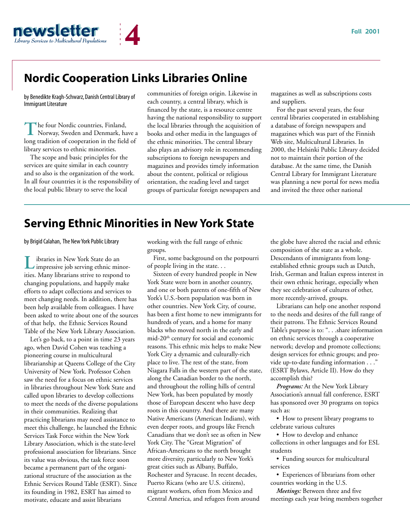

## **Nordic Cooperation Links Libraries Online**

by Benedikte Kragh-Schwarz, Danish Central Library of Immigrant Literature

he four Nordic countries, Finland, Norway, Sweden and Denmark, have a The four Nordic countries, Finland,<br>Norway, Sweden and Denmark, have<br>long tradition of cooperation in the field of library services to ethnic minorities.

The scope and basic principles for the services are quite similar in each country and so also is the organization of the work. In all four countries it is the responsibility of the local public library to serve the local

communities of foreign origin. Likewise in each country, a central library, which is financed by the state, is a resource centre having the national responsibility to support the local libraries through the acquisition of books and other media in the languages of the ethnic minorities. The central library also plays an advisory role in recommending subscriptions to foreign newspapers and magazines and provides timely information about the content, political or religious orientation, the reading level and target groups of particular foreign newspapers and

magazines as well as subscriptions costs and suppliers.

For the past several years, the four central libraries cooperated in establishing a database of foreign newspapers and magazines which was part of the Finnish Web site, Multicultural Libraries. In 2000, the Helsinki Public Library decided not to maintain their portion of the database. At the same time, the Danish Central Library for Immigrant Literature was planning a new portal for news media and invited the three other national

## **Serving Ethnic Minorities in New York State**

by Brigid Calahan, The New York Public Library

ibraries in New York State do an **L** ibraries in New York State do an impressive job serving ethnic minorities. Many librarians strive to respond to changing populations, and happily make efforts to adapt collections and services to meet changing needs. In addition, there has been help available from colleagues. I have been asked to write about one of the sources of that help, the Ethnic Services Round Table of the New York Library Association.

Let's go back, to a point in time 23 years ago, when David Cohen was teaching a pioneering course in multicultural librarianship at Queens College of the City University of New York. Professor Cohen saw the need for a focus on ethnic services in libraries throughout New York State and called upon libraries to develop collections to meet the needs of the diverse populations in their communities. Realizing that practicing librarians may need assistance to meet this challenge, he launched the Ethnic Services Task Force within the New York Library Association, which is the state-level professional association for librarians. Since its value was obvious, the task force soon became a permanent part of the organizational structure of the association as the Ethnic Services Round Table (ESRT). Since its founding in 1982, ESRT has aimed to motivate, educate and assist librarians

working with the full range of ethnic groups.

First, some background on the potpourri of people living in the state. . .

Sixteen of every hundred people in New York State were born in another country, and one or both parents of one-fifth of New York's U.S.-born population was born in other countries. New York City, of course, has been a first home to new immigrants for hundreds of years, and a home for many blacks who moved north in the early and mid-20th century for social and economic reasons. This ethnic mix helps to make New York City a dynamic and culturally-rich place to live. The rest of the state, from Niagara Falls in the western part of the state, along the Canadian border to the north, and throughout the rolling hills of central New York, has been populated by mostly those of European descent who have deep roots in this country. And there are many Native Americans (American Indians), with even deeper roots, and groups like French Canadians that we don't see as often in New York City. The "Great Migration" of African-Americans to the north brought more diversity, particularly to New York's great cities such as Albany, Buffalo, Rochester and Syracuse. In recent decades, Puerto Ricans (who are U.S. citizens), migrant workers, often from Mexico and Central America, and refugees from around

the globe have altered the racial and ethnic composition of the state as a whole. Descendants of immigrants from longestablished ethnic groups such as Dutch, Irish, German and Italian express interest in their own ethnic heritage, especially when they see celebration of cultures of other, more recently-arrived, groups.

Librarians can help one another respond to the needs and desires of the full range of their patrons. The Ethnic Services Round Table's purpose is to: ". . .share information on ethnic services through a cooperative network; develop and promote collections; design services for ethnic groups; and provide up-to-date funding information . . ." (ESRT Bylaws, Article II). How do they accomplish this?

*Programs:* At the New York Library Association's annual fall conference, ESRT has sponsored over 30 programs on topics such as:

• How to present library programs to celebrate various cultures

• How to develop and enhance collections in other languages and for ESL students

• Funding sources for multicultural services

• Experiences of librarians from other countries working in the U.S.

*Meetings:* Between three and five meetings each year bring members together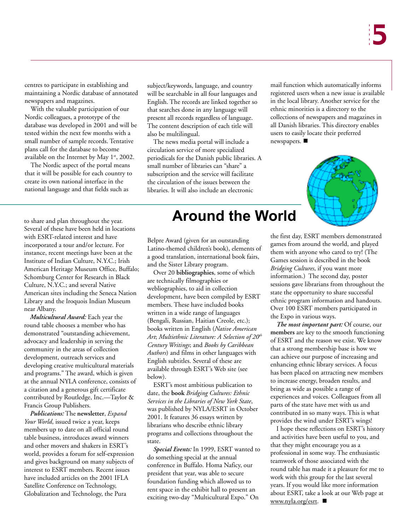centres to participate in establishing and maintaining a Nordic database of annotated newspapers and magazines.

With the valuable participation of our Nordic colleagues, a prototype of the database was developed in 2001 and will be tested within the next few months with a small number of sample records. Tentative plans call for the database to become available on the Internet by May  $1<sup>st</sup>$ , 2002.

The Nordic aspect of the portal means that it will be possible for each country to create its own national interface in the national language and that fields such as

to share and plan throughout the year. Several of these have been held in locations with ESRT-related interest and have incorporated a tour and/or lecture. For instance, recent meetings have been at the Institute of Indian Culture, N.Y.C.; Irish American Heritage Museum Office, Buffalo; Schomburg Center for Research in Black Culture, N.Y.C.; and several Native American sites including the Seneca Nation Library and the Iroquois Indian Museum near Albany.

*Multicultural Award:* Each year the round table chooses a member who has demonstrated "outstanding achievement, advocacy and leadership in serving the community in the areas of collection development, outreach services and developing creative multicultural materials and programs." The award, which is given at the annual NYLA conference, consists of a citation and a generous gift certificate contributed by Routledge, Inc.—Taylor & Francis Group Publishers.

*Publications:* The **newsletter**, *Expand Your World*, issued twice a year, keeps members up to date on all official round table business, introduces award winners and other movers and shakers in ESRT's world, provides a forum for self-expression and gives background on many subjects of interest to ESRT members. Recent issues have included articles on the 2001 IFLA Satellite Conference on Technology, Globalization and Technology, the Pura

subject/keywords, language, and country will be searchable in all four languages and English. The records are linked together so that searches done in any language will present all records regardless of language. The content description of each title will also be multilingual.

The news media portal will include a circulation service of more specialized periodicals for the Danish public libraries. A small number of libraries can "share" a subscription and the service will facilitate the circulation of the issues between the libraries. It will also include an electronic

# **Around the World**

Belpre Award (given for an outstanding Latino-themed children's book), elements of a good translation, international book fairs, and the Sister Library program.

Over 20 **bibliographies**, some of which are technically filmographies or webliographies, to aid in collection development, have been compiled by ESRT members. These have included books written in a wide range of languages (Bengali, Russian, Haitian Creole, etc.); books written in English (*Native American Art*; *Multiethnic Literature: A Selection of 20th Century Writings*; and *Books by Caribbean Authors*) and films in other languages with English subtitles. Several of these are available through ESRT's Web site (see below).

ESRT's most ambitious publication to date, the **book** *Bridging Cultures: Ethnic Services in the Libraries of New York State*, was published by NYLA/ESRT in October 2001. It features 36 essays written by librarians who describe ethnic library programs and collections throughout the state.

*Special Events:* In 1999, ESRT wanted to do something special at the annual conference in Buffalo. Homa Naficy, our president that year, was able to secure foundation funding which allowed us to rent space in the exhibit hall to present an exciting two-day "Multicultural Expo." On

mail function which automatically informs registered users when a new issue is available in the local library. Another service for the ethnic minorities is a directory to the collections of newspapers and magazines in all Danish libraries. This directory enables users to easily locate their preferred newspapers.



the first day, ESRT members demonstrated games from around the world, and played them with anyone who cared to try! (The Games session is described in the book *Bridging Cultures*, if you want more information.) The second day, poster sessions gave librarians from throughout the state the opportunity to share successful ethnic program information and handouts. Over 100 ESRT members participated in the Expo in various ways.

*The most important part:* Of course, our **members** are key to the smooth functioning of ESRT and the reason we exist. We know that a strong membership base is how we can achieve our purpose of increasing and enhancing ethnic library services. A focus has been placed on attracting new members to increase energy, broaden results, and bring as wide as possible a range of experiences and voices. Colleagues from all parts of the state have met with us and contributed in so many ways. This is what provides the wind under ESRT's wings!

I hope these reflections on ESRT's history and activities have been useful to you, and that they might encourage you as a professional in some way. The enthusiastic teamwork of those associated with the round table has made it a pleasure for me to work with this group for the last several years. If you would like more information about ESRT, take a look at our Web page at www.nyla.org/esrt.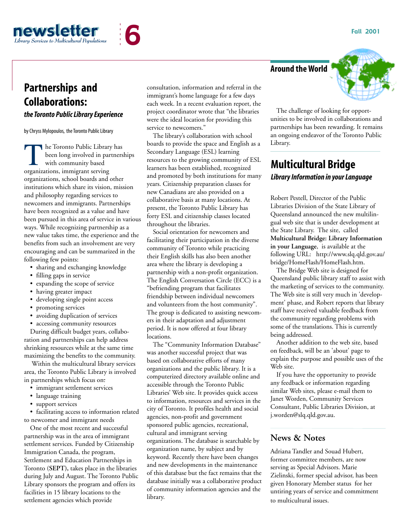Fall 2001



## **Partnerships and Collaborations:**

### *the Toronto Public Library Experience*

by Chryss Mylopoulos, the Toronto Public Library

he Toronto Public Library has been long involved in partnerships with community based The Toronto Public Librar<br>been long involved in pa<br>with community based<br>organizations, immigrant serving organizations, school boards and other institutions which share its vision, mission and philosophy regarding services to newcomers and immigrants. Partnerships have been recognized as a value and have been pursued in this area of service in various ways. While recognizing partnership as a new value takes time, the experience and the benefits from such an involvement are very encouraging and can be summarized in the following few points:

- sharing and exchanging knowledge
- filling gaps in service
- expanding the scope of service
- having greater impact
- developing single point access
- promoting services
- avoiding duplication of services
- accessing community resources

During difficult budget years, collaboration and partnerships can help address shrinking resources while at the same time maximizing the benefits to the community.

Within the multicultural library services area, the Toronto Public Library is involved in partnerships which focus on:

- immigrant settlement services
- language training
- support services

• facilitating access to information related to newcomer and immigrant needs

One of the most recent and successful partnership was in the area of immigrant settlement services. Funded by Citizenship Immigration Canada, the program, Settlement and Education Partnerships in Toronto (**SEPT),** takes place in the libraries during July and August. The Toronto Public Library sponsors the program and offers its facilities in 15 library locations to the settlement agencies which provide

consultation, information and referral in the immigrant's home language for a few days each week. In a recent evaluation report, the project coordinator wrote that "the libraries were the ideal location for providing this service to newcomers."

The library's collaboration with school boards to provide the space and English as a Secondary Language (ESL) learning resources to the growing community of ESL learners has been established, recognized and promoted by both institutions for many years. Citizenship preparation classes for new Canadians are also provided on a collaborative basis at many locations. At present, the Toronto Public Library has forty ESL and citizenship classes located throughout the libraries.

Social orientation for newcomers and facilitating their participation in the diverse community of Toronto while practicing their English skills has also been another area where the library is developing a partnership with a non-profit organization. The English Conversation Circle (ECC) is a "befriending program that facilitates friendship between individual newcomers and volunteers from the host community". The group is dedicated to assisting newcomers in their adaptation and adjustment period. It is now offered at four library locations.

The "Community Information Database" was another successful project that was based on collaborative efforts of many organizations and the public library. It is a computerized directory available online and accessible through the Toronto Public Libraries' Web site. It provides quick access to information, resources and services in the city of Toronto. It profiles health and social agencies, non-profit and government sponsored public agencies, recreational, cultural and immigrant serving organizations. The database is searchable by organization name, by subject and by keyword. Recently there have been changes and new developments in the maintenance of this database but the fact remains that the database initially was a collaborative product of community information agencies and the library.



## **Multicultural Bridge** *Library Information in your Language*

Robert Pestell, Director of the Public Libraries Division of the State Library of Queensland announced the new multilingual web site that is under development at the State Library. The site, called **Multicultural Bridge: Library Information in your Language**, is available at the following URL: http://www.slq.qld.gov.au/ bridge/HomeFlash/HomeFlash.htm.

The Bridge Web site is designed for Queensland public library staff to assist with the marketing of services to the community. The Web site is still very much in 'development' phase, and Robert reports that library staff have received valuable feedback from the community regarding problems with some of the translations. This is currently being addressed.

Another addition to the web site, based on feedback, will be an 'about' page to explain the purpose and possible uses of the Web site.

If you have the opportunity to provide any feedback or information regarding similar Web sites, please e-mail them to Janet Worden, Community Services Consultant, Public Libraries Division, at j.worden@slq.qld.gov.au.

## **News & Notes**

Adriana Tandler and Souad Hubert, former committee members, are now serving as Special Advisors. Marie Zielinski, former special advisor, has been given Honorary Member status for her untiring years of service and commitment to multicultural issues.

### **Around the World**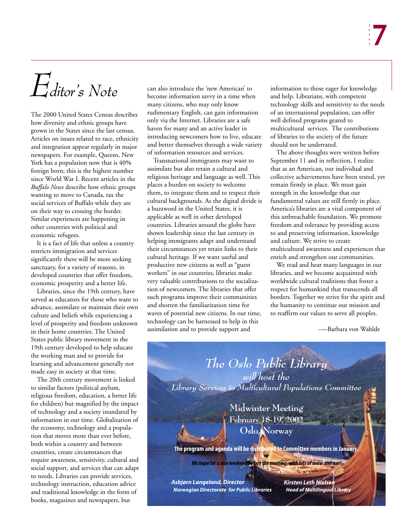# *Editor's Note*

The 2000 United States Census describes how diversity and ethnic groups have grown in the States since the last census. Articles on issues related to race, ethnicity and integration appear regularly in major newspapers. For example, Queens, New York has a population now that is 40% foreign born; this is the highest number since World War I. Recent articles in the *Buffalo News* describe how ethnic groups wanting to move to Canada, tax the social services of Buffalo while they are on their way to crossing the border. Similar experiences are happening in other countries with political and economic refugees.

It is a fact of life that unless a country restricts immigration and services significantly there will be more seeking sanctuary, for a variety of reasons, in developed countries that offer freedom, economic prosperity and a better life.

Libraries, since the 19th century, have served as educators for those who want to advance, assimilate or maintain their own culture and beliefs while experiencing a level of prosperity and freedom unknown in their home countries. The United States public library movement in the 19th century developed to help educate the working man and to provide for learning and advancement generally not made easy in society at that time.

The 20th century movement is linked to similar factors (political asylum, religious freedom, education, a better life for children) but magnified by the impact of technology and a society inundated by information in our time. Globalization of the economy, technology and a population that moves more than ever before, both within a country and between countries, create circumstances that require awareness, sensitivity, cultural and social support, and services that can adapt to needs. Libraries can provide services, technology instruction, education advice and traditional knowledge in the form of books, magazines and newspapers, but

can also introduce the 'new American' to become information savvy in a time when many citizens, who may only know rudimentary English, can gain information only via the Internet. Libraries are a safe haven for many and an active leader in introducing newcomers how to live, educate and better themselves through a wide variety of information resources and services.

Transnational immigrants may want to assimilate but also retain a cultural and religious heritage and language as well. This places a burden on society to welcome them, to integrate them and to respect their cultural backgrounds. As the digital divide is a buzzword in the United States, it is applicable as well in other developed countries. Libraries around the globe have shown leadership since the last century in helping immigrants adapt and understand their circumstances yet retain links to their cultural heritage. If we want useful and productive new citizens as well as "guest workers" in our countries, libraries make very valuable contributions to the socialization of newcomers. The libraries that offer such programs improve their communities and shorten the familiarization time for waves of potential new citizens. In our time, technology can be harnessed to help in this assimilation and to provide support and

information to those eager for knowledge and help. Librarians, with competent technology skills and sensitivity to the needs of an international population, can offer well defined programs geared to multicultural services. The contributions of libraries to the society of the future should not be underrated.

The above thoughts were written before September 11 and in reflection, I realize that as an American, our individual and collective achievements have been tested, yet remain firmly in place. We must gain strength in the knowledge that our fundamental values are still firmly in place. America's libraries are a vital component of this unbreachable foundation. We promote freedom and tolerance by providing access to and preserving information, knowledge and culture. We strive to create multicultural awareness and experiences that enrich and strengthen our communities.

We read and hear many languages in our libraries, and we become acquainted with worldwide cultural traditions that foster a respect for humankind that transcends all borders. Together we strive for the spirit and the humanity to continue our mission and to reaffirm our values to serve all peoples.

-—Barbara von Wahlde

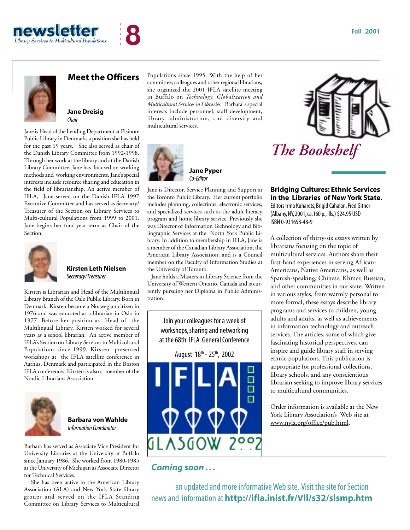





### **Meet the Officers**

**Jane Dreisig** *Chair*

Jane is Head of the Lending Department at Elsinore Public Library in Denmark, a position she has held for the past 19 years. She also served as chair of the Danish Library Committee from 1992-1998. Through her work at the library and at the Danish Library Committee, Jane has focused on working methods and working environments. Jane's special interests include resource sharing and education in the field of librarianship. An active member of IFLA, Jane served on the Danish IFLA 1997 Executive Committee and has served as Secretary/ Treasurer of the Section on Library Services to Multi-cultural Populations from 1999 to 2001. Jane begins her four year term as Chair of the Section.



**Kirsten Leth Nielsen** *Secretary/Treasurer*

Kirsten is Librarian and Head of the Multilingual Library Branch of the Oslo Public Library. Born in Denmark, Kirsten became a Norwegian citizen in 1976 and was educated as a librarian in Oslo in 1977. Before her position as Head of the Multilingual Library, Kirsten worked for several years as a school librarian. An active member of IFLA's Section on Library Services to Multicultural Populations since 1999, Kirsten presented workshops at the IFLA satellite conference in Aarhus, Denmark and participated in the Boston IFLA conference. Kirsten is also a member of the Nordic Librarians Association.



**Barbara von Wahlde** *Information Coordinator*

Barbara has served as Associate Vice President for University Libraries at the University at Buffalo since January 1986. She worked from 1980-1985 at the University of Michigan as Associate Director for Technical Services.

She has been active in the American Library Association (ALA) and New York State library groups and served on the IFLA Standing Committee on Library Services to Multicultural

Populations since 1995. With the help of her committee, colleagues and other regional librarians, she organized the 2001 IFLA satellite meeting in Buffalo on *Technology, Globalization and Multicultural Services in Libraries*. Barbara' s special interests include personnel, staff development, library administration, and diversity and multicultural services.



**Jane Pyper** *Co-Editor*

Jane is Director, Service Planning and Support at the Toronto Public Library. Her current portfolio includes planning, collections, electronic services, and specialized services such as the adult literacy program and home library service. Previously she was Director of Information Technology and Bibliographic Services at the North York Public Library. In addition to membership in IFLA, Jane is a member of the Canadian Library Association, the American Library Association, and is a Council member on the Faculty of Information Studies at the University of Toronto.

Jane holds a Masters in Library Science from the University of Western Ontario, Canada and is currently pursuing her Diploma in Public Administration.

Join your colleagues for a week of workshops, sharing and networking at the 68th IFLA General Conference



## *Coming soon . . .*

an updated and more informative Web site. Visit the site for Section news and information at **http://ifla.inist.fr/Vll/s32/slsmp.htm**



# *The Bookshelf*

**Bridging Cultures: Ethnic Services in the Libraries of New York State.** Editors Irma Kuharets, Brigid Cahalan, Fred Gitner (Albany, NY, 2001, ca.160 p., ills.) \$24.95 USD ISBN 0-931658-48-9

A collection of thirty-six essays written by librarians focusing on the topic of multicultural services. Authors share their first-hand experiences in serving African-Americans, Native Americans, as well as Spanish-speaking, Chinese, Khmer, Russian, and other communities in our state. Written in various styles, from warmly personal to more formal, these essays describe library programs and services to children, young adults and adults, as well as achievements in information technology and outreach services. The articles, some of which give fascinating historical perspectives, can inspire and guide library staff in serving ethnic populations. This publication is appropriate for professional collections, library schools, and any conscientious librarian seeking to improve library services to multicultural communities.

Order information is available at the New York Library Association's Web site at www.nyla.org/office/pub.html.